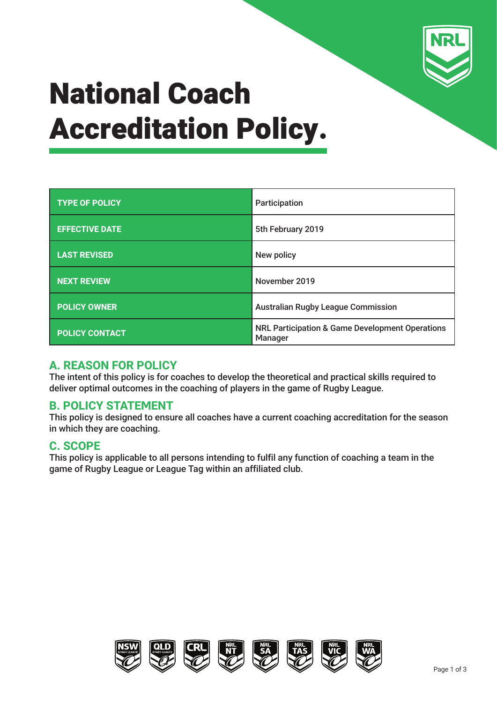

# National Coach Accreditation Policy.

| <b>TYPE OF POLICY</b> | Participation                                                         |  |
|-----------------------|-----------------------------------------------------------------------|--|
| <b>EFFECTIVE DATE</b> | 5th February 2019                                                     |  |
| <b>LAST REVISED</b>   | New policy                                                            |  |
| <b>NEXT REVIEW</b>    | November 2019                                                         |  |
| <b>POLICY OWNER</b>   | <b>Australian Rugby League Commission</b>                             |  |
| <b>POLICY CONTACT</b> | <b>NRL Participation &amp; Game Development Operations</b><br>Manager |  |

#### **A. REASON FOR POLICY**

The intent of this policy is for coaches to develop the theoretical and practical skills required to deliver optimal outcomes in the coaching of players in the game of Rugby League.

#### **B. POLICY STATEMENT**

This policy is designed to ensure all coaches have a current coaching accreditation for the season in which they are coaching.

#### **C. SCOPE**

This policy is applicable to all persons intending to fulfil any function of coaching a team in the game of Rugby League or League Tag within an affiliated club.

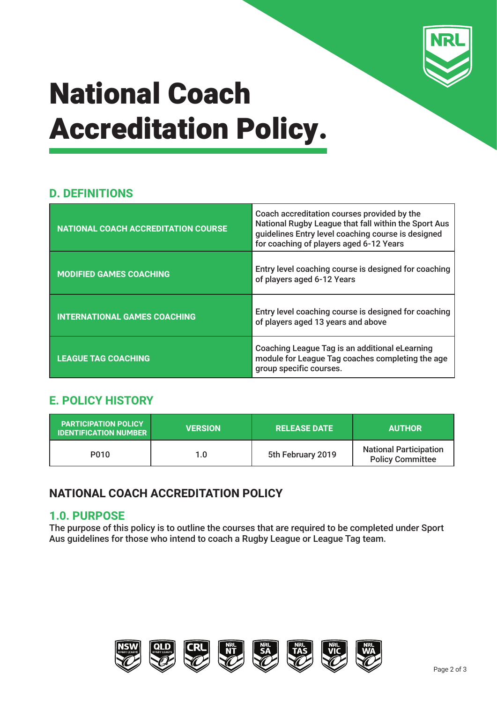

# National Coach Accreditation Policy.

### **D. DEFINITIONS**

| <b>NATIONAL COACH ACCREDITATION COURSE</b> | Coach accreditation courses provided by the<br>National Rugby League that fall within the Sport Aus<br>quidelines Entry level coaching course is designed<br>for coaching of players aged 6-12 Years |  |
|--------------------------------------------|------------------------------------------------------------------------------------------------------------------------------------------------------------------------------------------------------|--|
| <b>MODIFIED GAMES COACHING</b>             | Entry level coaching course is designed for coaching<br>of players aged 6-12 Years                                                                                                                   |  |
| <b>INTERNATIONAL GAMES COACHING</b>        | Entry level coaching course is designed for coaching<br>of players aged 13 years and above                                                                                                           |  |
| <b>LEAGUE TAG COACHING</b>                 | Coaching League Tag is an additional eLearning<br>module for League Tag coaches completing the age<br>group specific courses.                                                                        |  |

### **E. POLICY HISTORY**

| <b>PARTICIPATION POLICY</b><br><b>IDENTIFICATION NUMBER</b> | <b>VERSION</b> | <b>RELEASE DATE</b> | <b>AUTHOR</b>                                            |
|-------------------------------------------------------------|----------------|---------------------|----------------------------------------------------------|
| P010                                                        | 1.0            | 5th February 2019   | <b>National Participation</b><br><b>Policy Committee</b> |

### **NATIONAL COACH ACCREDITATION POLICY**

#### **1.0. PURPOSE**

The purpose of this policy is to outline the courses that are required to be completed under Sport Aus guidelines for those who intend to coach a Rugby League or League Tag team.